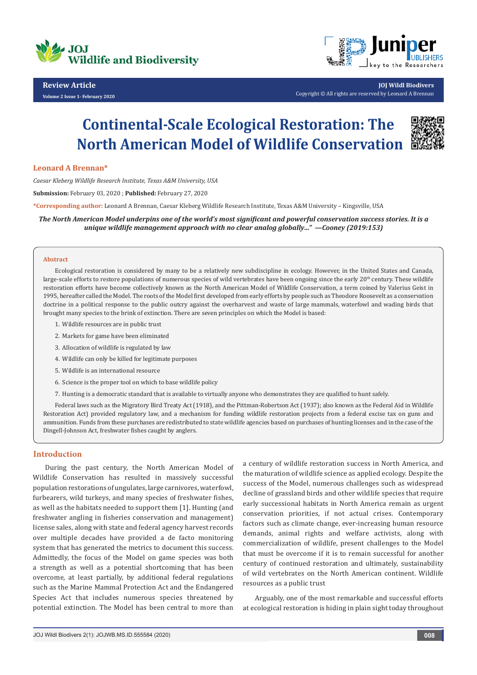

## **Review Article**

**Volume 2 Issue 1- February 2020**



**JOJ Wildl Biodivers** Copyright © All rights are reserved by Leonard A Brennan

# **Continental-Scale Ecological Restoration: The North American Model of Wildlife Conservation**



## **Leonard A Brennan\***

*Caesar Kleberg Wildlife Research Institute, Texas A&M University, USA*

**Submission:** February 03, 2020 ; **Published:** February 27, 2020

**\*Corresponding author:** Leonard A Brennan, Caesar Kleberg Wildlife Research Institute, Texas A&M University – Kingsville, USA

*The North American Model underpins one of the world's most significant and powerful conservation success stories. It is a unique wildlife management approach with no clear analog globally…" —Cooney (2019:153)*

#### **Abstract**

Ecological restoration is considered by many to be a relatively new subdiscipline in ecology. However, in the United States and Canada, large-scale efforts to restore populations of numerous species of wild vertebrates have been ongoing since the early 20<sup>th</sup> century. These wildlife restoration efforts have become collectively known as the North American Model of Wildlife Conservation, a term coined by Valerius Geist in 1995, hereafter called the Model. The roots of the Model first developed from early efforts by people such as Theodore Roosevelt as a conservation doctrine in a political response to the public outcry against the overharvest and waste of large mammals, waterfowl and wading birds that brought many species to the brink of extinction. There are seven principles on which the Model is based:

- 1. Wildlife resources are in public trust
- 2. Markets for game have been eliminated
- 3. Allocation of wildlife is regulated by law
- 4. Wildlife can only be killed for legitimate purposes
- 5. Wildlife is an international resource
- 6. Science is the proper tool on which to base wildlife policy
- 7. Hunting is a democratic standard that is available to virtually anyone who demonstrates they are qualified to hunt safely.

Federal laws such as the Migratory Bird Treaty Act (1918), and the Pittman-Robertson Act (1937); also known as the Federal Aid in Wildlife Restoration Act) provided regulatory law, and a mechanism for funding wildlife restoration projects from a federal excise tax on guns and ammunition. Funds from these purchases are redistributed to state wildlife agencies based on purchases of hunting licenses and in the case of the Dingell-Johnson Act, freshwater fishes caught by anglers.

## **Introduction**

During the past century, the North American Model of Wildlife Conservation has resulted in massively successful population restorations of ungulates, large carnivores, waterfowl, furbearers, wild turkeys, and many species of freshwater fishes, as well as the habitats needed to support them [1]. Hunting (and freshwater angling in fisheries conservation and management) license sales, along with state and federal agency harvest records over multiple decades have provided a de facto monitoring system that has generated the metrics to document this success. Admittedly, the focus of the Model on game species was both a strength as well as a potential shortcoming that has been overcome, at least partially, by additional federal regulations such as the Marine Mammal Protection Act and the Endangered Species Act that includes numerous species threatened by potential extinction. The Model has been central to more than a century of wildlife restoration success in North America, and the maturation of wildlife science as applied ecology. Despite the success of the Model, numerous challenges such as widespread decline of grassland birds and other wildlife species that require early successional habitats in North America remain as urgent conservation priorities, if not actual crises. Contemporary factors such as climate change, ever-increasing human resource demands, animal rights and welfare activists, along with commercialization of wildlife, present challenges to the Model that must be overcome if it is to remain successful for another century of continued restoration and ultimately, sustainability of wild vertebrates on the North American continent. Wildlife resources as a public trust

Arguably, one of the most remarkable and successful efforts at ecological restoration is hiding in plain sight today throughout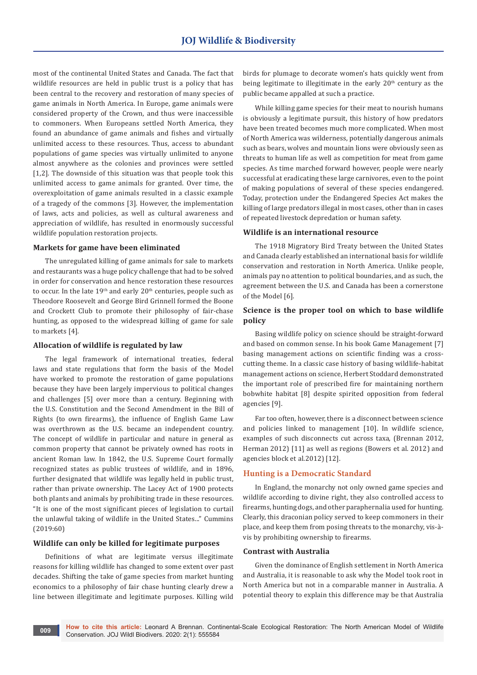most of the continental United States and Canada. The fact that wildlife resources are held in public trust is a policy that has been central to the recovery and restoration of many species of game animals in North America. In Europe, game animals were considered property of the Crown, and thus were inaccessible to commoners. When Europeans settled North America, they found an abundance of game animals and fishes and virtually unlimited access to these resources. Thus, access to abundant populations of game species was virtually unlimited to anyone almost anywhere as the colonies and provinces were settled [1,2]. The downside of this situation was that people took this unlimited access to game animals for granted. Over time, the overexploitation of game animals resulted in a classic example of a tragedy of the commons [3]. However, the implementation of laws, acts and policies, as well as cultural awareness and appreciation of wildlife, has resulted in enormously successful wildlife population restoration projects.

#### **Markets for game have been eliminated**

The unregulated killing of game animals for sale to markets and restaurants was a huge policy challenge that had to be solved in order for conservation and hence restoration these resources to occur. In the late  $19<sup>th</sup>$  and early  $20<sup>th</sup>$  centuries, people such as Theodore Roosevelt and George Bird Grinnell formed the Boone and Crockett Club to promote their philosophy of fair-chase hunting, as opposed to the widespread killing of game for sale to markets [4].

## **Allocation of wildlife is regulated by law**

The legal framework of international treaties, federal laws and state regulations that form the basis of the Model have worked to promote the restoration of game populations because they have been largely impervious to political changes and challenges [5] over more than a century. Beginning with the U.S. Constitution and the Second Amendment in the Bill of Rights (to own firearms), the influence of English Game Law was overthrown as the U.S. became an independent country. The concept of wildlife in particular and nature in general as common property that cannot be privately owned has roots in ancient Roman law. In 1842, the U.S. Supreme Court formally recognized states as public trustees of wildlife, and in 1896, further designated that wildlife was legally held in public trust, rather than private ownership. The Lacey Act of 1900 protects both plants and animals by prohibiting trade in these resources. "It is one of the most significant pieces of legislation to curtail the unlawful taking of wildlife in the United States..." Cummins (2019:60)

## **Wildlife can only be killed for legitimate purposes**

Definitions of what are legitimate versus illegitimate reasons for killing wildlife has changed to some extent over past decades. Shifting the take of game species from market hunting economics to a philosophy of fair chase hunting clearly drew a line between illegitimate and legitimate purposes. Killing wild

birds for plumage to decorate women's hats quickly went from being legitimate to illegitimate in the early 20<sup>th</sup> century as the public became appalled at such a practice.

While killing game species for their meat to nourish humans is obviously a legitimate pursuit, this history of how predators have been treated becomes much more complicated. When most of North America was wilderness, potentially dangerous animals such as bears, wolves and mountain lions were obviously seen as threats to human life as well as competition for meat from game species. As time marched forward however, people were nearly successful at eradicating these large carnivores, even to the point of making populations of several of these species endangered. Today, protection under the Endangered Species Act makes the killing of large predators illegal in most cases, other than in cases of repeated livestock depredation or human safety.

## **Wildlife is an international resource**

The 1918 Migratory Bird Treaty between the United States and Canada clearly established an international basis for wildlife conservation and restoration in North America. Unlike people, animals pay no attention to political boundaries, and as such, the agreement between the U.S. and Canada has been a cornerstone of the Model [6].

## **Science is the proper tool on which to base wildlife policy**

Basing wildlife policy on science should be straight-forward and based on common sense. In his book Game Management [7] basing management actions on scientific finding was a crosscutting theme. In a classic case history of basing wildlife-habitat management actions on science, Herbert Stoddard demonstrated the important role of prescribed fire for maintaining northern bobwhite habitat [8] despite spirited opposition from federal agencies [9].

Far too often, however, there is a disconnect between science and policies linked to management [10]. In wildlife science, examples of such disconnects cut across taxa, (Brennan 2012, Herman 2012) [11] as well as regions (Bowers et al. 2012) and agencies block et al.2012) [12].

## **Hunting is a Democratic Standard**

In England, the monarchy not only owned game species and wildlife according to divine right, they also controlled access to firearms, hunting dogs, and other paraphernalia used for hunting. Clearly, this draconian policy served to keep commoners in their place, and keep them from posing threats to the monarchy, vis-àvis by prohibiting ownership to firearms.

#### **Contrast with Australia**

Given the dominance of English settlement in North America and Australia, it is reasonable to ask why the Model took root in North America but not in a comparable manner in Australia. A potential theory to explain this difference may be that Australia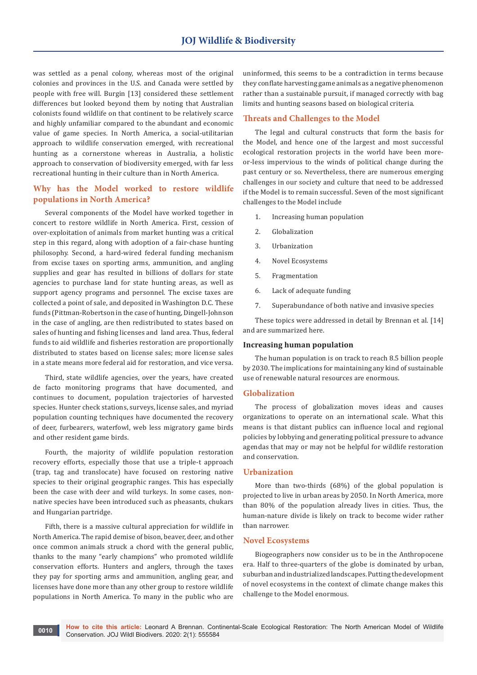was settled as a penal colony, whereas most of the original colonies and provinces in the U.S. and Canada were settled by people with free will. Burgin [13] considered these settlement differences but looked beyond them by noting that Australian colonists found wildlife on that continent to be relatively scarce and highly unfamiliar compared to the abundant and economic value of game species. In North America, a social-utilitarian approach to wildlife conservation emerged, with recreational hunting as a cornerstone whereas in Australia, a holistic approach to conservation of biodiversity emerged, with far less recreational hunting in their culture than in North America.

## **Why has the Model worked to restore wildlife populations in North America?**

Several components of the Model have worked together in concert to restore wildlife in North America. First, cession of over-exploitation of animals from market hunting was a critical step in this regard, along with adoption of a fair-chase hunting philosophy. Second, a hard-wired federal funding mechanism from excise taxes on sporting arms, ammunition, and angling supplies and gear has resulted in billions of dollars for state agencies to purchase land for state hunting areas, as well as support agency programs and personnel. The excise taxes are collected a point of sale, and deposited in Washington D.C. These funds (Pittman-Robertson in the case of hunting, Dingell-Johnson in the case of angling, are then redistributed to states based on sales of hunting and fishing licenses and land area. Thus, federal funds to aid wildlife and fisheries restoration are proportionally distributed to states based on license sales; more license sales in a state means more federal aid for restoration, and vice versa.

Third, state wildlife agencies, over the years, have created de facto monitoring programs that have documented, and continues to document, population trajectories of harvested species. Hunter check stations, surveys, license sales, and myriad population counting techniques have documented the recovery of deer, furbearers, waterfowl, web less migratory game birds and other resident game birds.

Fourth, the majority of wildlife population restoration recovery efforts, especially those that use a triple-t approach (trap, tag and translocate) have focused on restoring native species to their original geographic ranges. This has especially been the case with deer and wild turkeys. In some cases, nonnative species have been introduced such as pheasants, chukars and Hungarian partridge.

Fifth, there is a massive cultural appreciation for wildlife in North America. The rapid demise of bison, beaver, deer, and other once common animals struck a chord with the general public, thanks to the many "early champions" who promoted wildlife conservation efforts. Hunters and anglers, through the taxes they pay for sporting arms and ammunition, angling gear, and licenses have done more than any other group to restore wildlife populations in North America. To many in the public who are

uninformed, this seems to be a contradiction in terms because they conflate harvesting game animals as a negative phenomenon rather than a sustainable pursuit, if managed correctly with bag limits and hunting seasons based on biological criteria.

#### **Threats and Challenges to the Model**

The legal and cultural constructs that form the basis for the Model, and hence one of the largest and most successful ecological restoration projects in the world have been moreor-less impervious to the winds of political change during the past century or so. Nevertheless, there are numerous emerging challenges in our society and culture that need to be addressed if the Model is to remain successful. Seven of the most significant challenges to the Model include

- 1. Increasing human population
- 2. Globalization
- 3. Urbanization
- 4. Novel Ecosystems
- 5. Fragmentation
- 6. Lack of adequate funding
- 7. Superabundance of both native and invasive species

These topics were addressed in detail by Brennan et al. [14] and are summarized here.

#### **Increasing human population**

The human population is on track to reach 8.5 billion people by 2030. The implications for maintaining any kind of sustainable use of renewable natural resources are enormous.

#### **Globalization**

The process of globalization moves ideas and causes organizations to operate on an international scale. What this means is that distant publics can influence local and regional policies by lobbying and generating political pressure to advance agendas that may or may not be helpful for wildlife restoration and conservation.

#### **Urbanization**

More than two-thirds (68%) of the global population is projected to live in urban areas by 2050. In North America, more than 80% of the population already lives in cities. Thus, the human-nature divide is likely on track to become wider rather than narrower.

#### **Novel Ecosystems**

Biogeographers now consider us to be in the Anthropocene era. Half to three-quarters of the globe is dominated by urban, suburban and industrialized landscapes. Putting the development of novel ecosystems in the context of climate change makes this challenge to the Model enormous.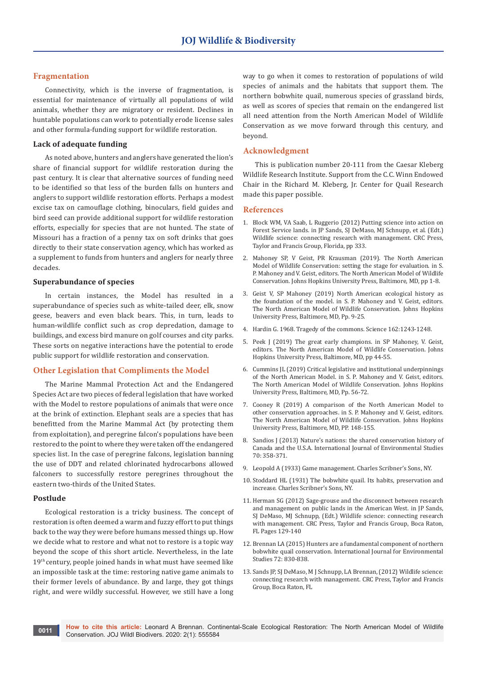## **Fragmentation**

Connectivity, which is the inverse of fragmentation, is essential for maintenance of virtually all populations of wild animals, whether they are migratory or resident. Declines in huntable populations can work to potentially erode license sales and other formula-funding support for wildlife restoration.

#### **Lack of adequate funding**

As noted above, hunters and anglers have generated the lion's share of financial support for wildlife restoration during the past century. It is clear that alternative sources of funding need to be identified so that less of the burden falls on hunters and anglers to support wildlife restoration efforts. Perhaps a modest excise tax on camouflage clothing, binoculars, field guides and bird seed can provide additional support for wildlife restoration efforts, especially for species that are not hunted. The state of Missouri has a fraction of a penny tax on soft drinks that goes directly to their state conservation agency, which has worked as a supplement to funds from hunters and anglers for nearly three decades.

#### **Superabundance of species**

In certain instances, the Model has resulted in a superabundance of species such as white-tailed deer, elk, snow geese, beavers and even black bears. This, in turn, leads to human-wildlife conflict such as crop depredation, damage to buildings, and excess bird manure on golf courses and city parks. These sorts on negative interactions have the potential to erode public support for wildlife restoration and conservation.

#### **Other Legislation that Compliments the Model**

The Marine Mammal Protection Act and the Endangered Species Act are two pieces of federal legislation that have worked with the Model to restore populations of animals that were once at the brink of extinction. Elephant seals are a species that has benefitted from the Marine Mammal Act (by protecting them from exploitation), and peregrine falcon's populations have been restored to the point to where they were taken off the endangered species list. In the case of peregrine falcons, legislation banning the use of DDT and related chlorinated hydrocarbons allowed falconers to successfully restore peregrines throughout the eastern two-thirds of the United States.

#### **Postlude**

Ecological restoration is a tricky business. The concept of restoration is often deemed a warm and fuzzy effort to put things back to the way they were before humans messed things up. How we decide what to restore and what not to restore is a topic way beyond the scope of this short article. Nevertheless, in the late 19<sup>th</sup> century, people joined hands in what must have seemed like an impossible task at the time: restoring native game animals to their former levels of abundance. By and large, they got things right, and were wildly successful. However, we still have a long way to go when it comes to restoration of populations of wild species of animals and the habitats that support them. The northern bobwhite quail, numerous species of grassland birds, as well as scores of species that remain on the endangered list all need attention from the North American Model of Wildlife Conservation as we move forward through this century, and beyond.

#### **Acknowledgment**

This is publication number 20-111 from the Caesar Kleberg Wildlife Research Institute. Support from the C.C. Winn Endowed Chair in the Richard M. Kleberg, Jr. Center for Quail Research made this paper possible.

## **References**

- 1. [Block WM, VA Saab, L Ruggerio \(2012\) Putting science into action on](https://www.crcpress.com/Wildlife-Science-Connecting-Research-with-Management/Sands-DeMaso-Schnupp-Brennan/p/book/9780367381325)  [Forest Service lands. in JP Sands, SJ DeMaso, MJ Schnupp, et al. \(Edt.\)](https://www.crcpress.com/Wildlife-Science-Connecting-Research-with-Management/Sands-DeMaso-Schnupp-Brennan/p/book/9780367381325)  [Wildlife science: connecting research with management. CRC Press,](https://www.crcpress.com/Wildlife-Science-Connecting-Research-with-Management/Sands-DeMaso-Schnupp-Brennan/p/book/9780367381325)  [Taylor and Francis Group, Florida, pp 333.](https://www.crcpress.com/Wildlife-Science-Connecting-Research-with-Management/Sands-DeMaso-Schnupp-Brennan/p/book/9780367381325)
- 2. Mahoney SP, V Geist, PR Krausman (2019). The North American Model of Wildlife Conservation: setting the stage for evaluation. in S. P. Mahoney and V. Geist, editors. The North American Model of Wildlife Conservation. Johns Hopkins University Press, Baltimore, MD, pp 1-8.
- 3. Geist V, SP Mahoney (2019) North American ecological history as the foundation of the model. in S. P. Mahoney and V. Geist, editors. The North American Model of Wildlife Conservation. Johns Hopkins University Press, Baltimore, MD, Pp. 9-25.
- 4. Hardin G. 1968. Tragedy of the commons. Science 162:1243-1248.
- 5. Peek J (2019) The great early champions. in SP Mahoney, V. Geist, editors. The North American Model of Wildlife Conservation. Johns Hopkins University Press, Baltimore, MD, pp 44-55.
- 6. Cummins JL (2019) Critical legislative and institutional underpinnings of the North American Model. in S. P. Mahoney and V. Geist, editors. The North American Model of Wildlife Conservation. Johns Hopkins University Press, Baltimore, MD, Pp. 56-72.
- 7. Cooney R (2019) A comparison of the North American Model to other conservation approaches. in S. P. Mahoney and V. Geist, editors. The North American Model of Wildlife Conservation. Johns Hopkins University Press, Baltimore, MD, PP. 148-155.
- 8. Sandios J (2013) Nature's nations: the shared conservation history of Canada and the U.S.A. International Journal of Environmental Studies 70: 358-371.
- 9. Leopold A (1933) Game management. Charles Scribner's Sons, NY.
- 10. Stoddard HL (1931) The bobwhite quail. Its habits, preservation and increase. Charles Scribner's Sons, NY.
- 11. Herman SG (2012) Sage-grouse and the disconnect between research and management on public lands in the American West. in JP Sands, SJ DeMaso, MJ Schnupp, (Edt.) Wildlife science: connecting research with management. CRC Press, Taylor and Francis Group, Boca Raton, FL Pages 129-140
- 12. [Brennan LA \(2015\) Hunters are a fundamental component of northern](https://www.tandfonline.com/doi/abs/10.1080/00207233.2015.1082802)  [bobwhite quail conservation. International Journal for Environmental](https://www.tandfonline.com/doi/abs/10.1080/00207233.2015.1082802)  [Studies 72: 830-838.](https://www.tandfonline.com/doi/abs/10.1080/00207233.2015.1082802)
- 13. Sands JP, SJ DeMaso, M J Schnupp, LA Brennan, (2012) Wildlife science: connecting research with management. CRC Press, Taylor and Francis Group, Boca Raton, FL